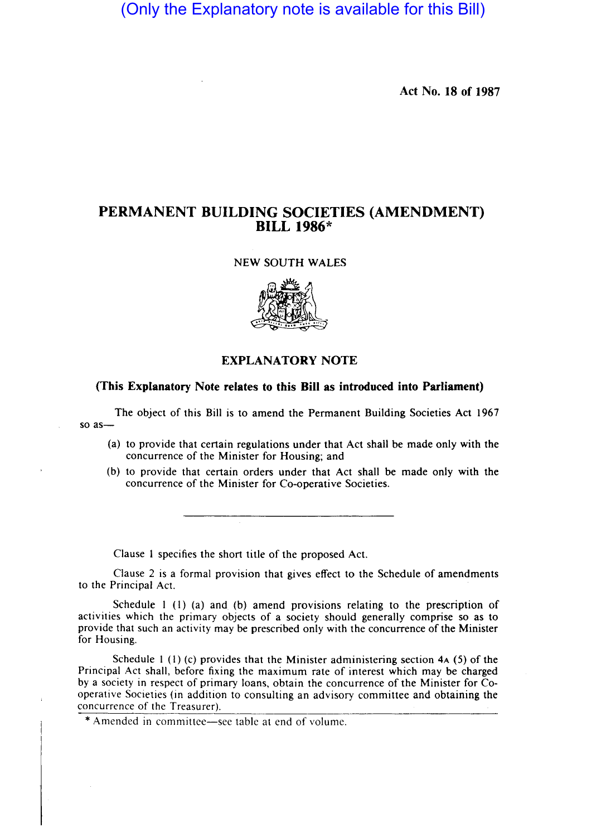(Only the Explanatory note is available for this Bill)

Act No. 18 of 1987

## PERMANENT BUILDING SOCIETIES (AMENDMENT) BILL 1986\*



## EXPLANATORY NOTE

## (This Explanatory Note relates to this Bill as introduced into Parliament)

The object of this Bill is to amend the Permanent Building Societies Act 1967 so as-

- (a) to provide that certain regulations under that Act shall be made only with the concurrence of the Minister for Housing; and
- (b) to provide that certain orders under that Act shall be made only with the concurrence of the Minister for Co-operative Societies.

Clause I specifies the short title of the proposed Act.

Clause 2 is a formal provision that gives effect to the Schedule of amendments to the Principal Act.

Schedule  $1 \text{ (1)}$  (a) and (b) amend provisions relating to the prescription of activities which the primary objects of a society should generally comprise so as to provide that such an activity may be prescribed only with the concurrence of the Minister for Housing.

Schedule 1 (1) (c) provides that the Minister administering section  $4A(5)$  of the Principal Act shall, before fixing the maximum rate of interest which may be charged by a society in respect of primary loans, obtain the concurrence of the Minister for Cooperative Societies (in addition to consulting an advisory committee and obtaining the concurrence of the Treasurer).

\* Amended in committee-see table at end of volume.